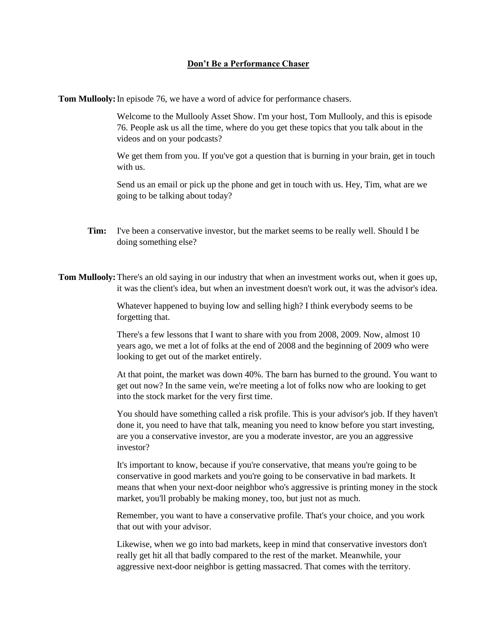## **Don't Be a Performance Chaser**

**Tom Mullooly:**In episode 76, we have a word of advice for performance chasers.

Welcome to the Mullooly Asset Show. I'm your host, Tom Mullooly, and this is episode 76. People ask us all the time, where do you get these topics that you talk about in the videos and on your podcasts?

We get them from you. If you've got a question that is burning in your brain, get in touch with us.

Send us an email or pick up the phone and get in touch with us. Hey, Tim, what are we going to be talking about today?

**Tim:** I've been a conservative investor, but the market seems to be really well. Should I be doing something else?

**Tom Mullooly:**There's an old saying in our industry that when an investment works out, when it goes up, it was the client's idea, but when an investment doesn't work out, it was the advisor's idea.

> Whatever happened to buying low and selling high? I think everybody seems to be forgetting that.

There's a few lessons that I want to share with you from 2008, 2009. Now, almost 10 years ago, we met a lot of folks at the end of 2008 and the beginning of 2009 who were looking to get out of the market entirely.

At that point, the market was down 40%. The barn has burned to the ground. You want to get out now? In the same vein, we're meeting a lot of folks now who are looking to get into the stock market for the very first time.

You should have something called a risk profile. This is your advisor's job. If they haven't done it, you need to have that talk, meaning you need to know before you start investing, are you a conservative investor, are you a moderate investor, are you an aggressive investor?

It's important to know, because if you're conservative, that means you're going to be conservative in good markets and you're going to be conservative in bad markets. It means that when your next-door neighbor who's aggressive is printing money in the stock market, you'll probably be making money, too, but just not as much.

Remember, you want to have a conservative profile. That's your choice, and you work that out with your advisor.

Likewise, when we go into bad markets, keep in mind that conservative investors don't really get hit all that badly compared to the rest of the market. Meanwhile, your aggressive next-door neighbor is getting massacred. That comes with the territory.